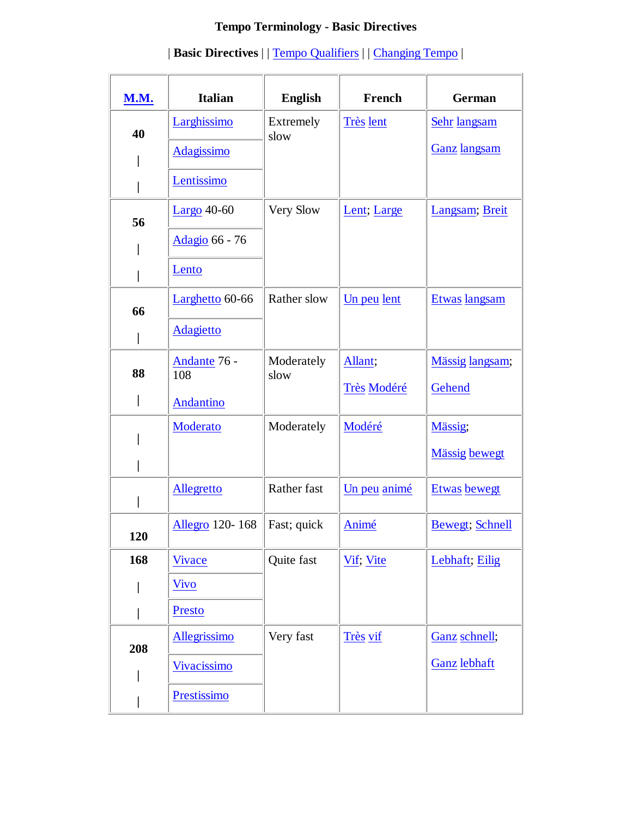# **Tempo Terminology - Basic Directives**

| <b>M.M.</b> | <b>Italian</b>      | <b>English</b>     | French           | <b>German</b>           |
|-------------|---------------------|--------------------|------------------|-------------------------|
| 40          | Larghissimo         | Extremely<br>slow  | <b>Très</b> lent | Sehr langsam            |
|             | <b>Adagissimo</b>   |                    |                  | <b>Ganz</b> langsam     |
|             | Lentissimo          |                    |                  |                         |
| 56          | Largo $40-60$       | Very Slow          | Lent; Large      | Langsam; Breit          |
|             | Adagio 66 - 76      |                    |                  |                         |
|             | Lento               |                    |                  |                         |
| 66          | Larghetto 60-66     | Rather slow        | Un peu lent      | Etwas langsam           |
|             | <b>Adagietto</b>    |                    |                  |                         |
| 88          | Andante 76 -<br>108 | Moderately<br>slow | Allant;          | Mässig langsam;         |
|             | Andantino           |                    | Très Modéré      | Gehend                  |
|             | Moderato            | Moderately         | Modéré           | Mässig;                 |
|             |                     |                    |                  | <b>Mässig</b> bewegt    |
|             | <b>Allegretto</b>   | Rather fast        | Un peu animé     | <b>Etwas</b> bewegt     |
| 120         | Allegro 120-168     | Fast; quick        | Animé            | <b>Bewegt</b> ; Schnell |
| 168         | <b>Vivace</b>       | Quite fast         | Vif; Vite        | Lebhaft; Eilig          |
|             | <b>Vivo</b>         |                    |                  |                         |
|             | Presto              |                    |                  |                         |
| 208         | Allegrissimo        | Very fast          | Très vif         | Ganz schnell;           |
|             | <b>Vivacissimo</b>  |                    |                  | <b>Ganz</b> lebhaft     |
|             | Prestissimo         |                    |                  |                         |

## | **Basic Directives** | | Tempo Qualifiers | | Changing Tempo |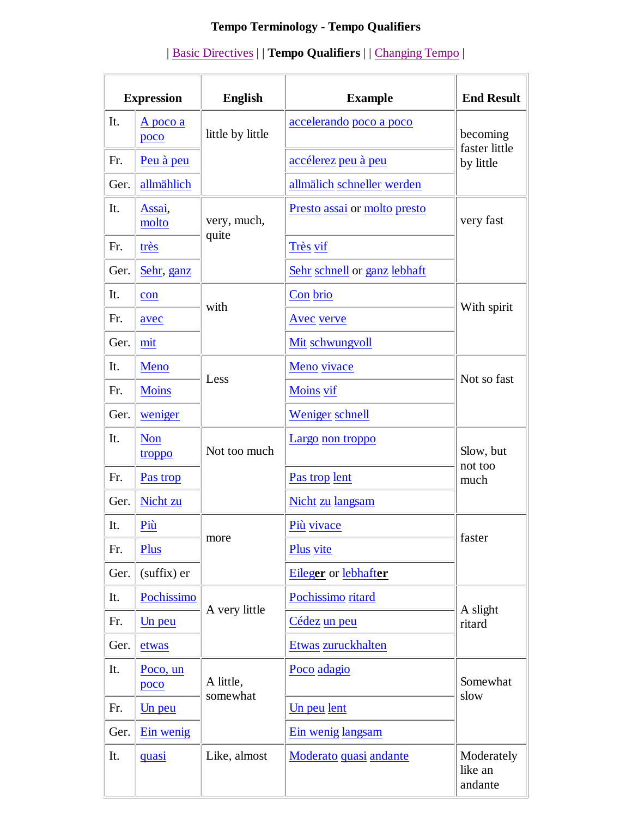# **Tempo Terminology - Tempo Qualifiers**

| <b>Expression</b> |                      | <b>English</b>   | <b>Example</b>               | <b>End Result</b>                |
|-------------------|----------------------|------------------|------------------------------|----------------------------------|
| It.               | A poco a<br>poco     | little by little | accelerando poco a poco      | becoming                         |
| Fr.               | Peu à peu            |                  | accélerez peu à peu          | faster little<br>by little       |
| Ger.              | allmählich           |                  | allmälich schneller werden   |                                  |
| It.               | Assai,<br>molto      | very, much,      | Presto assai or molto presto | very fast                        |
| Fr.               | très                 | quite            | Très vif                     |                                  |
| Ger.              | Sehr, ganz           |                  | Sehr schnell or ganz lebhaft |                                  |
| It.               | con                  |                  | Con brio                     | With spirit                      |
| Fr.               | avec                 | with             | Avec verve                   |                                  |
| Ger.              | mit                  |                  | Mit schwungvoll              |                                  |
| It.               | Meno                 |                  | Meno vivace                  | Not so fast                      |
| Fr.               | <b>Moins</b>         | Less             | Moins vif                    |                                  |
| Ger.              | weniger              |                  | Weniger schnell              |                                  |
| It.               | <b>Non</b><br>troppo | Not too much     | Largo non troppo             | Slow, but<br>not too<br>much     |
| Fr.               | Pas trop             |                  | Pas trop lent                |                                  |
| Ger.              | Nicht zu             |                  | Nicht zu langsam             |                                  |
| It.               | Più                  |                  | Più vivace                   |                                  |
| Fr.               | Plus                 | more             | Plus vite                    | faster                           |
| Ger.              | (suffix) er          |                  | Eileger or lebhafter         |                                  |
| It.               | Pochissimo           |                  | Pochissimo ritard            | A slight<br>ritard               |
| Fr.               | Un peu               | A very little    | Cédez un peu                 |                                  |
| Ger.              | etwas                |                  | Etwas zuruckhalten           |                                  |
| It.               | Poco, un<br>poco     | A little,        | Poco adagio                  | Somewhat                         |
| Fr.               | Un peu               | somewhat         | Un peu lent                  | slow                             |
| Ger.              | Ein wenig            |                  | Ein wenig langsam            |                                  |
| It.               | <u>quasi</u>         | Like, almost     | Moderato quasi andante       | Moderately<br>like an<br>andante |

## | Basic Directives | | **Tempo Qualifiers** | | Changing Tempo |